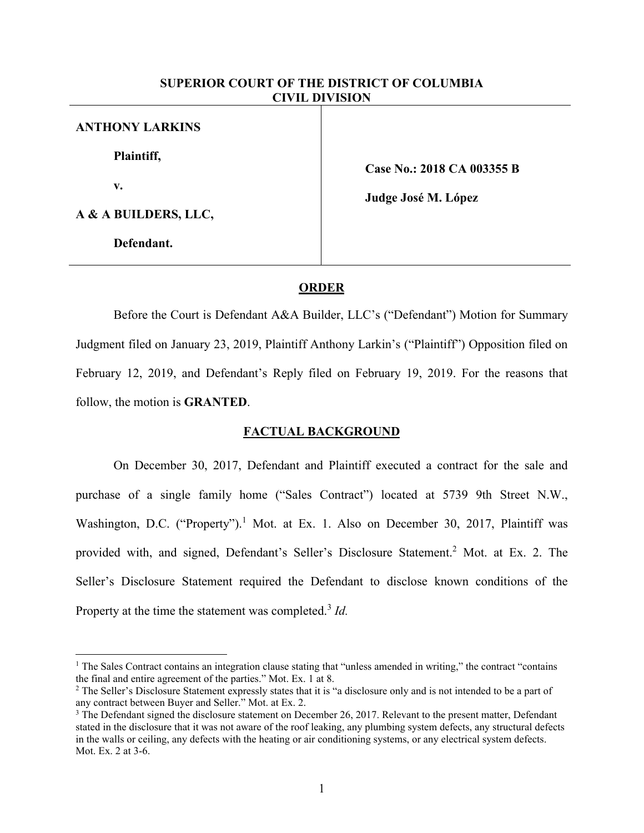# **SUPERIOR COURT OF THE DISTRICT OF COLUMBIA CIVIL DIVISION**

| <b>ANTHONY LARKINS</b> |
|------------------------|
| Plaintiff,             |
| v.                     |
| A & A BUILDERS, LLC,   |

**Defendant.**

 $\overline{a}$ 

**Case No.: 2018 CA 003355 B**

**Judge José M. López**

### **ORDER**

Before the Court is Defendant A&A Builder, LLC's ("Defendant") Motion for Summary Judgment filed on January 23, 2019, Plaintiff Anthony Larkin's ("Plaintiff") Opposition filed on February 12, 2019, and Defendant's Reply filed on February 19, 2019. For the reasons that follow, the motion is **GRANTED**.

## **FACTUAL BACKGROUND**

On December 30, 2017, Defendant and Plaintiff executed a contract for the sale and purchase of a single family home ("Sales Contract") located at 5739 9th Street N.W., Washington, D.C. ("Property").<sup>1</sup> Mot. at Ex. 1. Also on December 30, 2017, Plaintiff was provided with, and signed, Defendant's Seller's Disclosure Statement.<sup>2</sup> Mot. at Ex. 2. The Seller's Disclosure Statement required the Defendant to disclose known conditions of the Property at the time the statement was completed.<sup>3</sup> *Id.* 

<sup>&</sup>lt;sup>1</sup> The Sales Contract contains an integration clause stating that "unless amended in writing," the contract "contains" the final and entire agreement of the parties." Mot. Ex. 1 at 8.

<sup>&</sup>lt;sup>2</sup> The Seller's Disclosure Statement expressly states that it is "a disclosure only and is not intended to be a part of any contract between Buyer and Seller." Mot. at Ex. 2.

<sup>&</sup>lt;sup>3</sup> The Defendant signed the disclosure statement on December 26, 2017. Relevant to the present matter, Defendant stated in the disclosure that it was not aware of the roof leaking, any plumbing system defects, any structural defects in the walls or ceiling, any defects with the heating or air conditioning systems, or any electrical system defects. Mot. Ex. 2 at 3-6.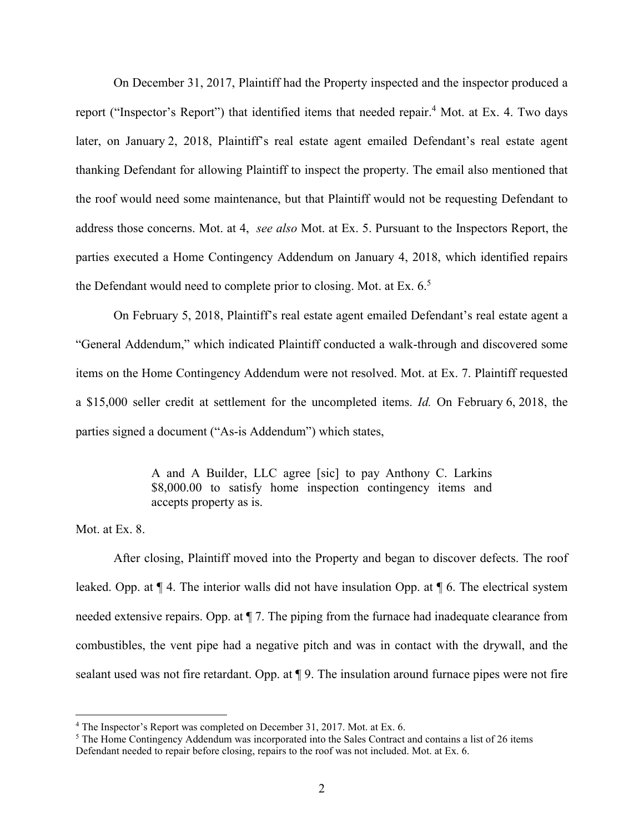On December 31, 2017, Plaintiff had the Property inspected and the inspector produced a report ("Inspector's Report") that identified items that needed repair.<sup>4</sup> Mot. at Ex. 4. Two days later, on January 2, 2018, Plaintiff's real estate agent emailed Defendant's real estate agent thanking Defendant for allowing Plaintiff to inspect the property. The email also mentioned that the roof would need some maintenance, but that Plaintiff would not be requesting Defendant to address those concerns. Mot. at 4, *see also* Mot. at Ex. 5. Pursuant to the Inspectors Report, the parties executed a Home Contingency Addendum on January 4, 2018, which identified repairs the Defendant would need to complete prior to closing. Mot. at Ex.  $6<sup>5</sup>$ 

On February 5, 2018, Plaintiff's real estate agent emailed Defendant's real estate agent a "General Addendum," which indicated Plaintiff conducted a walk-through and discovered some items on the Home Contingency Addendum were not resolved. Mot. at Ex. 7. Plaintiff requested a \$15,000 seller credit at settlement for the uncompleted items. *Id.* On February 6, 2018, the parties signed a document ("As-is Addendum") which states,

> A and A Builder, LLC agree [sic] to pay Anthony C. Larkins \$8,000.00 to satisfy home inspection contingency items and accepts property as is.

Mot. at Ex. 8.

 $\overline{a}$ 

After closing, Plaintiff moved into the Property and began to discover defects. The roof leaked. Opp. at ¶ 4. The interior walls did not have insulation Opp. at ¶ 6. The electrical system needed extensive repairs. Opp. at ¶ 7. The piping from the furnace had inadequate clearance from combustibles, the vent pipe had a negative pitch and was in contact with the drywall, and the sealant used was not fire retardant. Opp. at  $\P$  9. The insulation around furnace pipes were not fire

<sup>4</sup> The Inspector's Report was completed on December 31, 2017. Mot. at Ex. 6.

<sup>5</sup> The Home Contingency Addendum was incorporated into the Sales Contract and contains a list of 26 items Defendant needed to repair before closing, repairs to the roof was not included. Mot. at Ex. 6.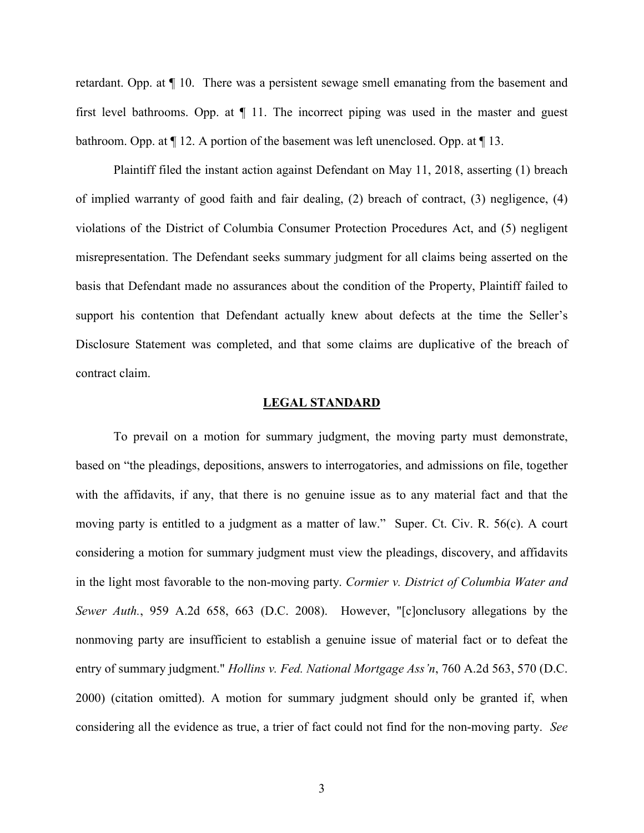retardant. Opp. at ¶ 10. There was a persistent sewage smell emanating from the basement and first level bathrooms. Opp. at ¶ 11. The incorrect piping was used in the master and guest bathroom. Opp. at ¶ 12. A portion of the basement was left unenclosed. Opp. at ¶ 13.

Plaintiff filed the instant action against Defendant on May 11, 2018, asserting (1) breach of implied warranty of good faith and fair dealing, (2) breach of contract, (3) negligence, (4) violations of the District of Columbia Consumer Protection Procedures Act, and (5) negligent misrepresentation. The Defendant seeks summary judgment for all claims being asserted on the basis that Defendant made no assurances about the condition of the Property, Plaintiff failed to support his contention that Defendant actually knew about defects at the time the Seller's Disclosure Statement was completed, and that some claims are duplicative of the breach of contract claim.

#### **LEGAL STANDARD**

To prevail on a motion for summary judgment, the moving party must demonstrate, based on "the pleadings, depositions, answers to interrogatories, and admissions on file, together with the affidavits, if any, that there is no genuine issue as to any material fact and that the moving party is entitled to a judgment as a matter of law." Super. Ct. Civ. R. 56(c). A court considering a motion for summary judgment must view the pleadings, discovery, and affidavits in the light most favorable to the non-moving party. *Cormier v. District of Columbia Water and Sewer Auth.*, 959 A.2d 658, 663 (D.C. 2008). However, "[c]onclusory allegations by the nonmoving party are insufficient to establish a genuine issue of material fact or to defeat the entry of summary judgment." *Hollins v. Fed. National Mortgage Ass'n*, 760 A.2d 563, 570 (D.C. 2000) (citation omitted). A motion for summary judgment should only be granted if, when considering all the evidence as true, a trier of fact could not find for the non-moving party. *See*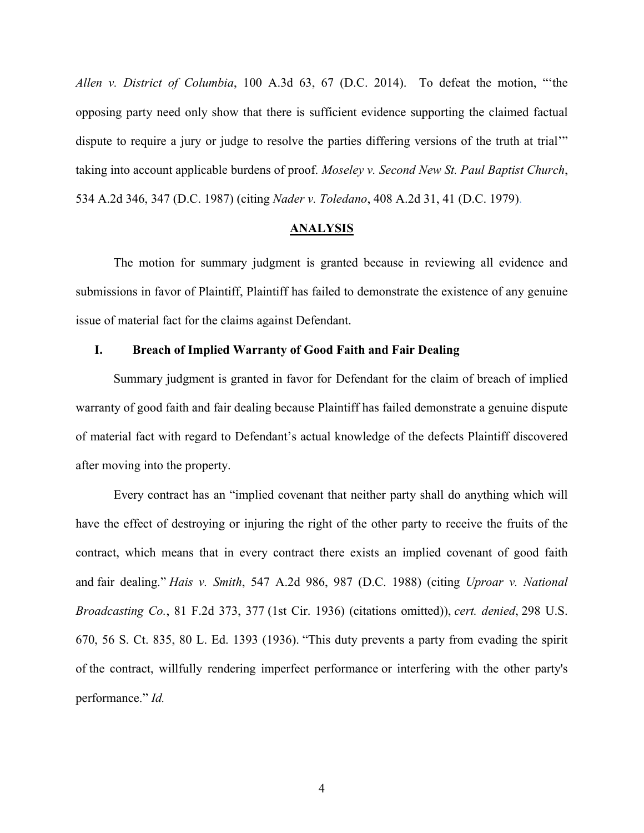*Allen v. District of Columbia*, 100 A.3d 63, 67 (D.C. 2014). To defeat the motion, "'the opposing party need only show that there is sufficient evidence supporting the claimed factual dispute to require a jury or judge to resolve the parties differing versions of the truth at trial'" taking into account applicable burdens of proof. *Moseley v. Second New St. Paul Baptist Church*, 534 A.2d 346, 347 (D.C. 1987) (citing *Nader v. Toledano*, 408 A.2d 31, 41 (D.C. 1979).

# **ANALYSIS**

The motion for summary judgment is granted because in reviewing all evidence and submissions in favor of Plaintiff, Plaintiff has failed to demonstrate the existence of any genuine issue of material fact for the claims against Defendant.

## **I. Breach of Implied Warranty of Good Faith and Fair Dealing**

Summary judgment is granted in favor for Defendant for the claim of breach of implied warranty of good faith and fair dealing because Plaintiff has failed demonstrate a genuine dispute of material fact with regard to Defendant's actual knowledge of the defects Plaintiff discovered after moving into the property.

Every contract has an "implied covenant that neither party shall do anything which will have the effect of destroying or injuring the right of the other party to receive the fruits of the contract, which means that in every contract there exists an implied covenant of good faith and fair dealing." *Hais v. Smith*, 547 A.2d 986, 987 (D.C. 1988) (citing *Uproar v. National Broadcasting Co.*, 81 F.2d 373, 377 (1st Cir. 1936) (citations omitted)), *cert. denied*, 298 U.S. 670, 56 S. Ct. 835, 80 L. Ed. 1393 (1936). "This duty prevents a party from evading the spirit of the contract, willfully rendering imperfect performance or interfering with the other party's performance." *Id.*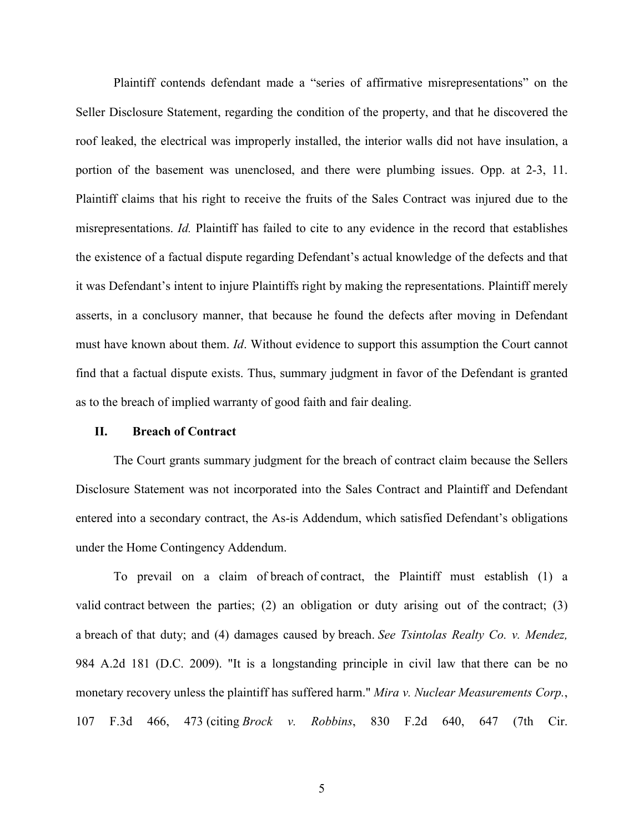Plaintiff contends defendant made a "series of affirmative misrepresentations" on the Seller Disclosure Statement, regarding the condition of the property, and that he discovered the roof leaked, the electrical was improperly installed, the interior walls did not have insulation, a portion of the basement was unenclosed, and there were plumbing issues. Opp. at 2-3, 11. Plaintiff claims that his right to receive the fruits of the Sales Contract was injured due to the misrepresentations. *Id.* Plaintiff has failed to cite to any evidence in the record that establishes the existence of a factual dispute regarding Defendant's actual knowledge of the defects and that it was Defendant's intent to injure Plaintiffs right by making the representations. Plaintiff merely asserts, in a conclusory manner, that because he found the defects after moving in Defendant must have known about them. *Id*. Without evidence to support this assumption the Court cannot find that a factual dispute exists. Thus, summary judgment in favor of the Defendant is granted as to the breach of implied warranty of good faith and fair dealing.

### **II. Breach of Contract**

The Court grants summary judgment for the breach of contract claim because the Sellers Disclosure Statement was not incorporated into the Sales Contract and Plaintiff and Defendant entered into a secondary contract, the As-is Addendum, which satisfied Defendant's obligations under the Home Contingency Addendum.

To prevail on a claim of breach of contract, the Plaintiff must establish (1) a valid contract between the parties; (2) an obligation or duty arising out of the contract; (3) a breach of that duty; and (4) damages caused by breach. *See Tsintolas Realty Co. v. Mendez,*  984 A.2d 181 (D.C. 2009). "It is a longstanding principle in civil law that there can be no monetary recovery unless the plaintiff has suffered harm." *Mira v. Nuclear Measurements Corp.*, 107 F.3d 466, 473 (citing *Brock v. Robbins*, 830 F.2d 640, 647 (7th Cir.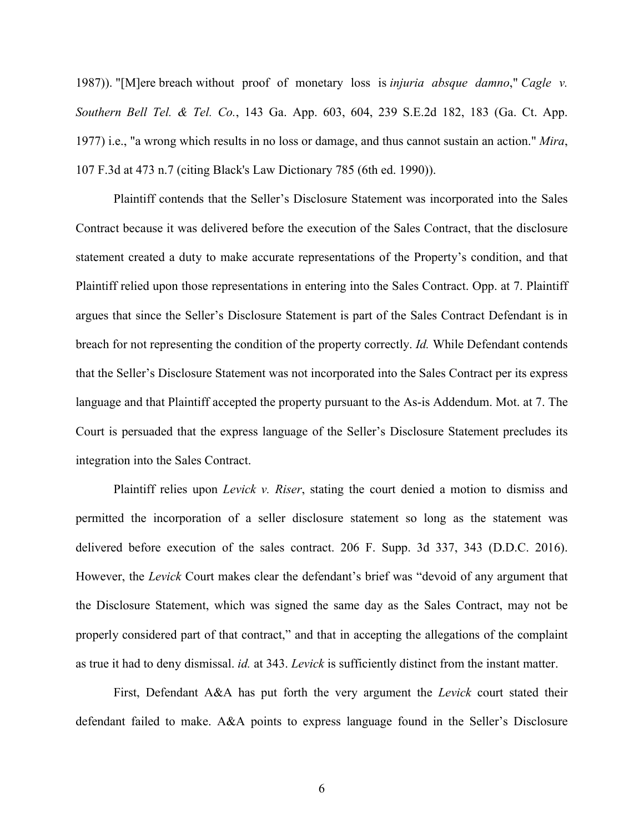1987)). "[M]ere breach without proof of monetary loss is *injuria absque damno*," *Cagle v. Southern Bell Tel. & Tel. Co.*, 143 Ga. App. 603, 604, 239 S.E.2d 182, 183 (Ga. Ct. App. 1977) i.e., "a wrong which results in no loss or damage, and thus cannot sustain an action." *Mira*, 107 F.3d at 473 n.7 (citing Black's Law Dictionary 785 (6th ed. 1990)).

Plaintiff contends that the Seller's Disclosure Statement was incorporated into the Sales Contract because it was delivered before the execution of the Sales Contract, that the disclosure statement created a duty to make accurate representations of the Property's condition, and that Plaintiff relied upon those representations in entering into the Sales Contract. Opp. at 7. Plaintiff argues that since the Seller's Disclosure Statement is part of the Sales Contract Defendant is in breach for not representing the condition of the property correctly. *Id.* While Defendant contends that the Seller's Disclosure Statement was not incorporated into the Sales Contract per its express language and that Plaintiff accepted the property pursuant to the As-is Addendum. Mot. at 7. The Court is persuaded that the express language of the Seller's Disclosure Statement precludes its integration into the Sales Contract.

Plaintiff relies upon *Levick v. Riser*, stating the court denied a motion to dismiss and permitted the incorporation of a seller disclosure statement so long as the statement was delivered before execution of the sales contract. 206 F. Supp. 3d 337, 343 (D.D.C. 2016). However, the *Levick* Court makes clear the defendant's brief was "devoid of any argument that the Disclosure Statement, which was signed the same day as the Sales Contract, may not be properly considered part of that contract," and that in accepting the allegations of the complaint as true it had to deny dismissal. *id.* at 343. *Levick* is sufficiently distinct from the instant matter.

First, Defendant A&A has put forth the very argument the *Levick* court stated their defendant failed to make. A&A points to express language found in the Seller's Disclosure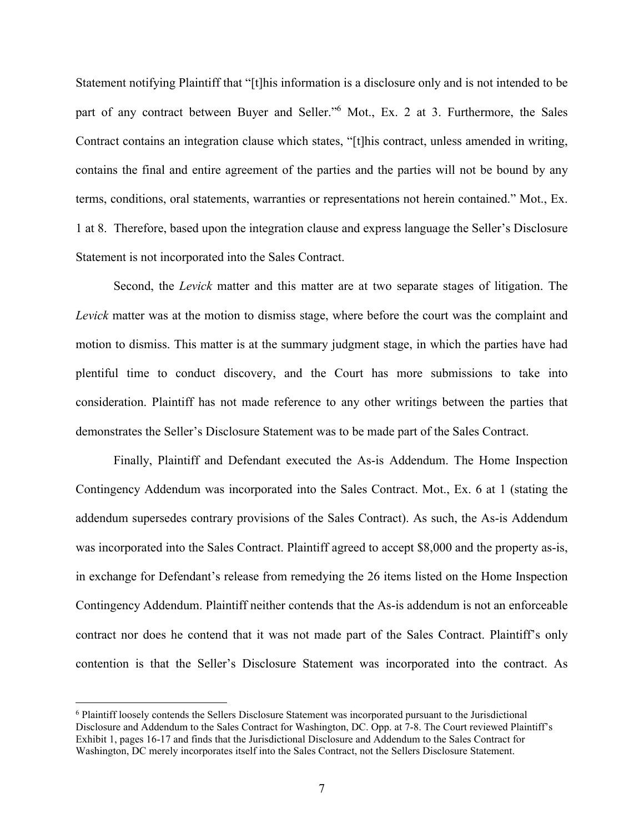Statement notifying Plaintiff that "[t]his information is a disclosure only and is not intended to be part of any contract between Buyer and Seller."<sup>6</sup> Mot., Ex. 2 at 3. Furthermore, the Sales Contract contains an integration clause which states, "[t]his contract, unless amended in writing, contains the final and entire agreement of the parties and the parties will not be bound by any terms, conditions, oral statements, warranties or representations not herein contained." Mot., Ex. 1 at 8. Therefore, based upon the integration clause and express language the Seller's Disclosure Statement is not incorporated into the Sales Contract.

Second, the *Levick* matter and this matter are at two separate stages of litigation. The *Levick* matter was at the motion to dismiss stage, where before the court was the complaint and motion to dismiss. This matter is at the summary judgment stage, in which the parties have had plentiful time to conduct discovery, and the Court has more submissions to take into consideration. Plaintiff has not made reference to any other writings between the parties that demonstrates the Seller's Disclosure Statement was to be made part of the Sales Contract.

Finally, Plaintiff and Defendant executed the As-is Addendum. The Home Inspection Contingency Addendum was incorporated into the Sales Contract. Mot., Ex. 6 at 1 (stating the addendum supersedes contrary provisions of the Sales Contract). As such, the As-is Addendum was incorporated into the Sales Contract. Plaintiff agreed to accept \$8,000 and the property as-is, in exchange for Defendant's release from remedying the 26 items listed on the Home Inspection Contingency Addendum. Plaintiff neither contends that the As-is addendum is not an enforceable contract nor does he contend that it was not made part of the Sales Contract. Plaintiff's only contention is that the Seller's Disclosure Statement was incorporated into the contract. As

 $\overline{a}$ 

<sup>6</sup> Plaintiff loosely contends the Sellers Disclosure Statement was incorporated pursuant to the Jurisdictional Disclosure and Addendum to the Sales Contract for Washington, DC. Opp. at 7-8. The Court reviewed Plaintiff's Exhibit 1, pages 16-17 and finds that the Jurisdictional Disclosure and Addendum to the Sales Contract for Washington, DC merely incorporates itself into the Sales Contract, not the Sellers Disclosure Statement.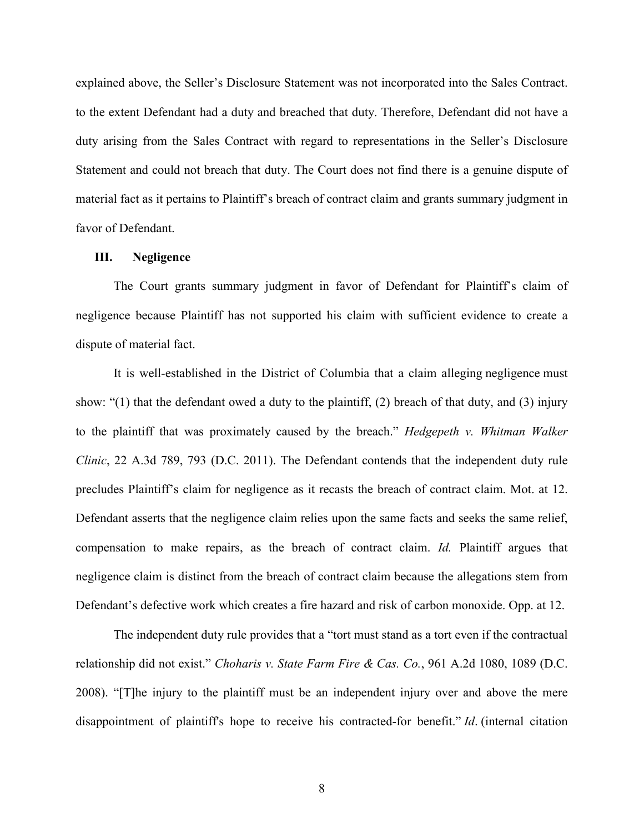explained above, the Seller's Disclosure Statement was not incorporated into the Sales Contract. to the extent Defendant had a duty and breached that duty. Therefore, Defendant did not have a duty arising from the Sales Contract with regard to representations in the Seller's Disclosure Statement and could not breach that duty. The Court does not find there is a genuine dispute of material fact as it pertains to Plaintiff's breach of contract claim and grants summary judgment in favor of Defendant.

### **III. Negligence**

The Court grants summary judgment in favor of Defendant for Plaintiff's claim of negligence because Plaintiff has not supported his claim with sufficient evidence to create a dispute of material fact.

It is well-established in the District of Columbia that a claim alleging negligence must show: "(1) that the defendant owed a duty to the plaintiff, (2) breach of that duty, and (3) injury to the plaintiff that was proximately caused by the breach." *Hedgepeth v. Whitman Walker Clinic*, 22 A.3d 789, 793 (D.C. 2011). The Defendant contends that the independent duty rule precludes Plaintiff's claim for negligence as it recasts the breach of contract claim. Mot. at 12. Defendant asserts that the negligence claim relies upon the same facts and seeks the same relief, compensation to make repairs, as the breach of contract claim. *Id.* Plaintiff argues that negligence claim is distinct from the breach of contract claim because the allegations stem from Defendant's defective work which creates a fire hazard and risk of carbon monoxide. Opp. at 12.

The independent duty rule provides that a "tort must stand as a tort even if the contractual relationship did not exist." *Choharis v. State Farm Fire & Cas. Co.*, 961 A.2d 1080, 1089 (D.C. 2008). "[T]he injury to the plaintiff must be an independent injury over and above the mere disappointment of plaintiff's hope to receive his contracted-for benefit." *Id*. (internal citation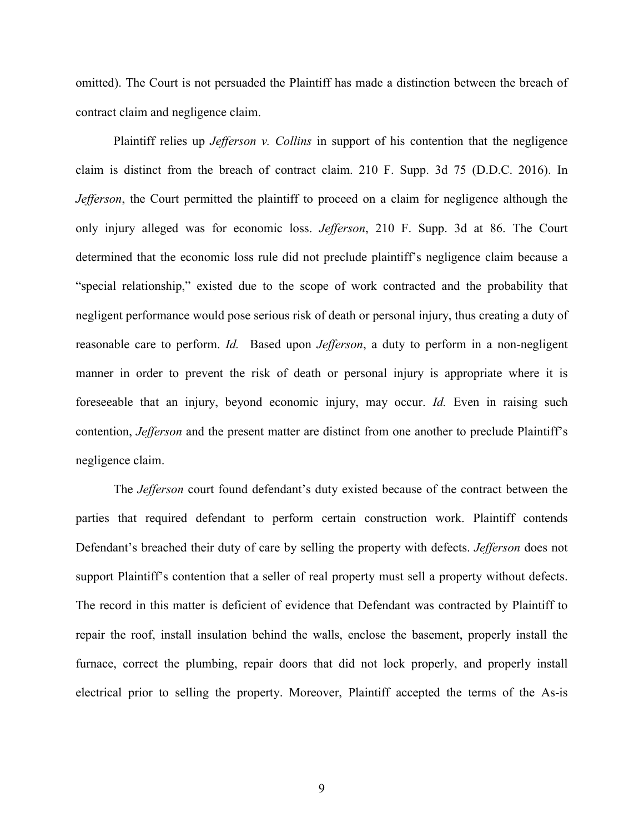omitted). The Court is not persuaded the Plaintiff has made a distinction between the breach of contract claim and negligence claim.

Plaintiff relies up *Jefferson v. Collins* in support of his contention that the negligence claim is distinct from the breach of contract claim. 210 F. Supp. 3d 75 (D.D.C. 2016). In *Jefferson*, the Court permitted the plaintiff to proceed on a claim for negligence although the only injury alleged was for economic loss. *Jefferson*, 210 F. Supp. 3d at 86. The Court determined that the economic loss rule did not preclude plaintiff's negligence claim because a "special relationship," existed due to the scope of work contracted and the probability that negligent performance would pose serious risk of death or personal injury, thus creating a duty of reasonable care to perform. *Id.* Based upon *Jefferson*, a duty to perform in a non-negligent manner in order to prevent the risk of death or personal injury is appropriate where it is foreseeable that an injury, beyond economic injury, may occur. *Id.* Even in raising such contention, *Jefferson* and the present matter are distinct from one another to preclude Plaintiff's negligence claim.

The *Jefferson* court found defendant's duty existed because of the contract between the parties that required defendant to perform certain construction work. Plaintiff contends Defendant's breached their duty of care by selling the property with defects. *Jefferson* does not support Plaintiff's contention that a seller of real property must sell a property without defects. The record in this matter is deficient of evidence that Defendant was contracted by Plaintiff to repair the roof, install insulation behind the walls, enclose the basement, properly install the furnace, correct the plumbing, repair doors that did not lock properly, and properly install electrical prior to selling the property. Moreover, Plaintiff accepted the terms of the As-is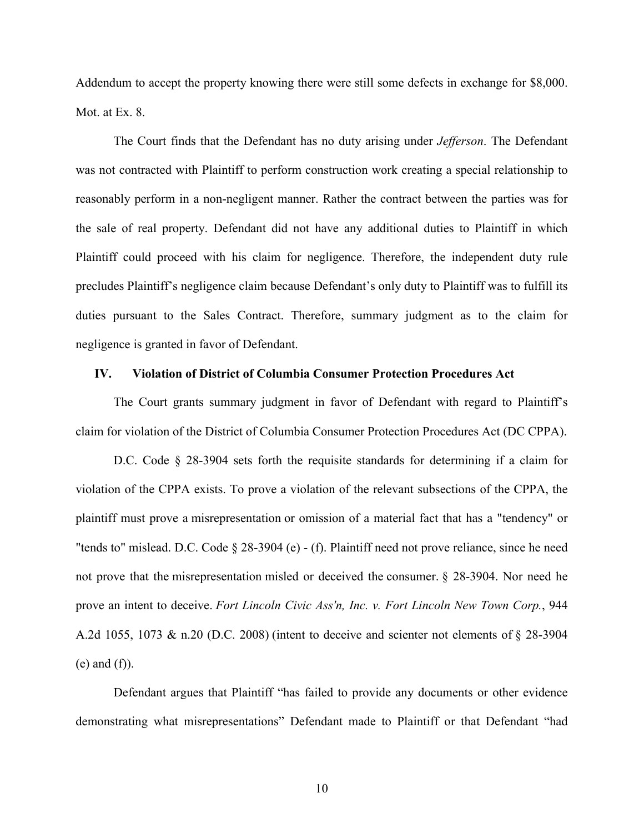Addendum to accept the property knowing there were still some defects in exchange for \$8,000. Mot. at Ex. 8.

The Court finds that the Defendant has no duty arising under *Jefferson*. The Defendant was not contracted with Plaintiff to perform construction work creating a special relationship to reasonably perform in a non-negligent manner. Rather the contract between the parties was for the sale of real property. Defendant did not have any additional duties to Plaintiff in which Plaintiff could proceed with his claim for negligence. Therefore, the independent duty rule precludes Plaintiff's negligence claim because Defendant's only duty to Plaintiff was to fulfill its duties pursuant to the Sales Contract. Therefore, summary judgment as to the claim for negligence is granted in favor of Defendant.

### **IV. Violation of District of Columbia Consumer Protection Procedures Act**

The Court grants summary judgment in favor of Defendant with regard to Plaintiff's claim for violation of the District of Columbia Consumer Protection Procedures Act (DC CPPA).

D.C. Code § 28-3904 sets forth the requisite standards for determining if a claim for violation of the CPPA exists. To prove a violation of the relevant subsections of the CPPA, the plaintiff must prove a misrepresentation or omission of a material fact that has a "tendency" or "tends to" mislead. D.C. Code § 28-3904 (e) - (f). Plaintiff need not prove reliance, since he need not prove that the misrepresentation misled or deceived the consumer. § 28-3904. Nor need he prove an intent to deceive. *Fort Lincoln Civic Ass'n, Inc. v. Fort Lincoln New Town Corp.*, 944 A.2d 1055, 1073 & n.20 (D.C. 2008) (intent to deceive and scienter not elements of § 28-3904 (e) and (f)).

Defendant argues that Plaintiff "has failed to provide any documents or other evidence demonstrating what misrepresentations" Defendant made to Plaintiff or that Defendant "had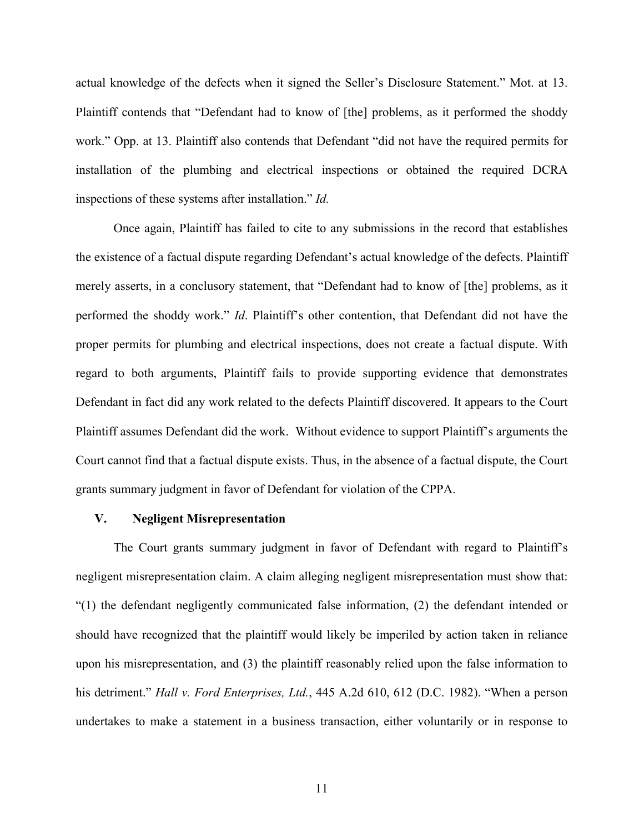actual knowledge of the defects when it signed the Seller's Disclosure Statement." Mot. at 13. Plaintiff contends that "Defendant had to know of [the] problems, as it performed the shoddy work." Opp. at 13. Plaintiff also contends that Defendant "did not have the required permits for installation of the plumbing and electrical inspections or obtained the required DCRA inspections of these systems after installation." *Id.*

Once again, Plaintiff has failed to cite to any submissions in the record that establishes the existence of a factual dispute regarding Defendant's actual knowledge of the defects. Plaintiff merely asserts, in a conclusory statement, that "Defendant had to know of [the] problems, as it performed the shoddy work." *Id*. Plaintiff's other contention, that Defendant did not have the proper permits for plumbing and electrical inspections, does not create a factual dispute. With regard to both arguments, Plaintiff fails to provide supporting evidence that demonstrates Defendant in fact did any work related to the defects Plaintiff discovered. It appears to the Court Plaintiff assumes Defendant did the work. Without evidence to support Plaintiff's arguments the Court cannot find that a factual dispute exists. Thus, in the absence of a factual dispute, the Court grants summary judgment in favor of Defendant for violation of the CPPA.

### **V. Negligent Misrepresentation**

The Court grants summary judgment in favor of Defendant with regard to Plaintiff's negligent misrepresentation claim. A claim alleging negligent misrepresentation must show that: "(1) the defendant negligently communicated false information, (2) the defendant intended or should have recognized that the plaintiff would likely be imperiled by action taken in reliance upon his misrepresentation, and (3) the plaintiff reasonably relied upon the false information to his detriment." *Hall v. Ford Enterprises, Ltd.*, 445 A.2d 610, 612 (D.C. 1982). "When a person undertakes to make a statement in a business transaction, either voluntarily or in response to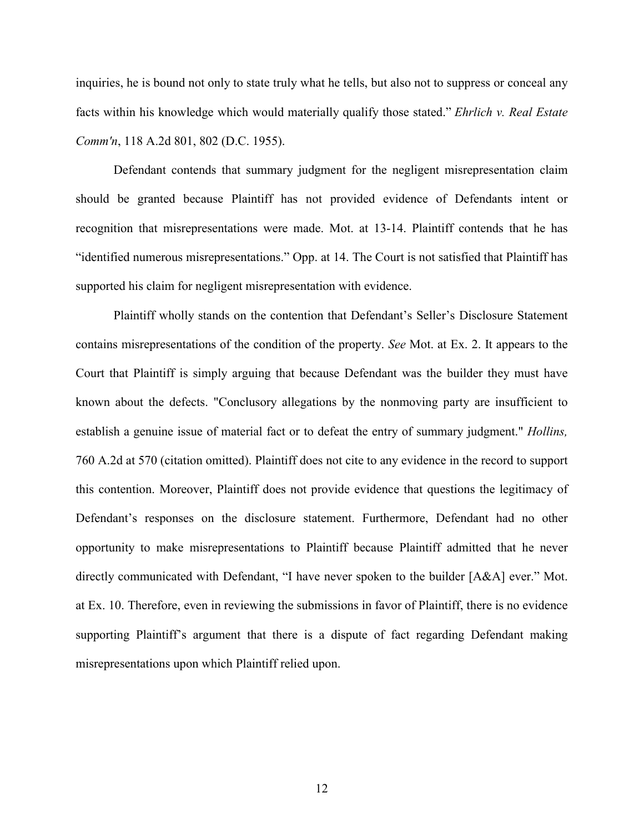inquiries, he is bound not only to state truly what he tells, but also not to suppress or conceal any facts within his knowledge which would materially qualify those stated." *Ehrlich v. Real Estate Comm'n*, 118 A.2d 801, 802 (D.C. 1955).

Defendant contends that summary judgment for the negligent misrepresentation claim should be granted because Plaintiff has not provided evidence of Defendants intent or recognition that misrepresentations were made. Mot. at 13-14. Plaintiff contends that he has "identified numerous misrepresentations." Opp. at 14. The Court is not satisfied that Plaintiff has supported his claim for negligent misrepresentation with evidence.

Plaintiff wholly stands on the contention that Defendant's Seller's Disclosure Statement contains misrepresentations of the condition of the property. *See* Mot. at Ex. 2. It appears to the Court that Plaintiff is simply arguing that because Defendant was the builder they must have known about the defects. "Conclusory allegations by the nonmoving party are insufficient to establish a genuine issue of material fact or to defeat the entry of summary judgment." *Hollins,* 760 A.2d at 570 (citation omitted). Plaintiff does not cite to any evidence in the record to support this contention. Moreover, Plaintiff does not provide evidence that questions the legitimacy of Defendant's responses on the disclosure statement. Furthermore, Defendant had no other opportunity to make misrepresentations to Plaintiff because Plaintiff admitted that he never directly communicated with Defendant, "I have never spoken to the builder [A&A] ever." Mot. at Ex. 10. Therefore, even in reviewing the submissions in favor of Plaintiff, there is no evidence supporting Plaintiff's argument that there is a dispute of fact regarding Defendant making misrepresentations upon which Plaintiff relied upon.